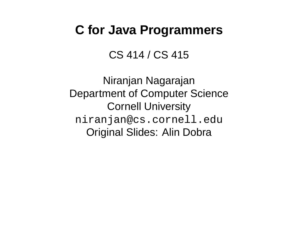## **C for Java Programmers**

CS 414 / CS 415

Niranjan Nagarajan Department of Computer Science Cornell University niranjan@cs.cornell.edu Original Slides: Alin Dobra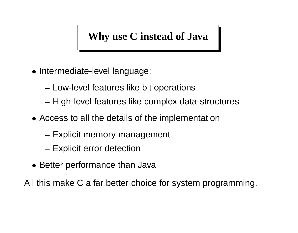## **Why use C instead of Java**

- Intermediate-level language:
	- **–** Low-level features like bit operations
	- **–** High-level features like complex data-structures
- Access to all the details of the implementation
	- **–** Explicit memory management
	- **–** Explicit error detection
- Better performance than Java

All this make C a far better choice for system programming.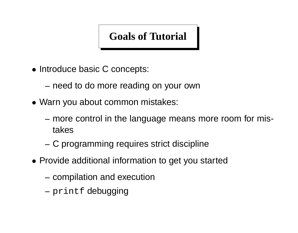## **Goals of Tutorial**

• Introduce basic C concepts:

**–** need to do more reading on your own

- Warn you about common mistakes:
	- **–** more control in the language means more room for mistakes
	- **–** C programming requires strict discipline
- Provide additional information to get you started
	- **–** compilation and execution
	- **–** printf debugging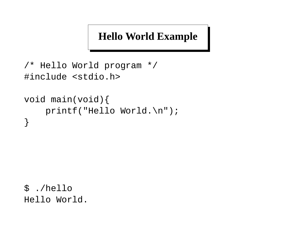## **Hello World Example**

```
/* Hello World program */
#include <stdio.h>
```

```
void main(void){
    printf("Hello World.\n");
}
```
\$ ./hello Hello World.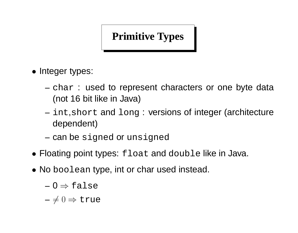## **Primitive Types**

- Integer types:
	- **–** char : used to represent characters or one byte data (not 16 bit like in Java)
	- **–** int,short and long : versions of integer (architecture dependent)
	- **–** can be signed or unsigned
- Floating point types: float and double like in Java.
- No boolean type, int or char used instead.
	- **–** 0 ⇒ false

 $- \neq 0 \Rightarrow$  true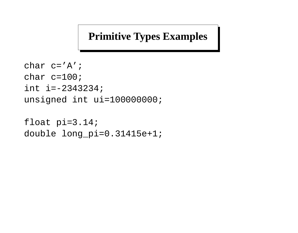### **Primitive Types Examples**

```
char c='A';
char c=100;
int i=-2343234;
unsigned int ui=100000000;
```

```
float pi=3.14;
double long_pi=0.31415e+1;
```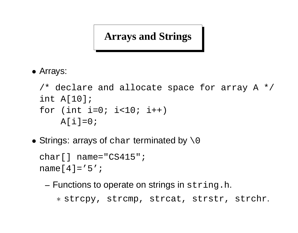## **Arrays and Strings**

• Arrays:

```
/* declare and allocate space for array A */
int A[10];
for (int i=0; i<10; i++)
   A[i]=0;
```
• Strings: arrays of char terminated by  $\setminus 0$ 

```
char\lceil name="CS415";
name[4] = '5';
```
**–** Functions to operate on strings in string.h. ∗ strcpy, strcmp, strcat, strstr, strchr.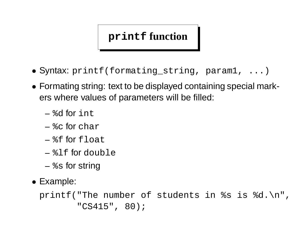### **printf function**

- Syntax: printf(formating\_string, param1, ...)
- Formating string: text to be displayed containing special markers where values of parameters will be filled:
	- **–** %d for int
	- **–** %c for char
	- **–** %f for float
	- **–** %lf for double
	- **–** %s for string
- Example:

printf("The number of students in %s is %d.\n", "CS415", 80);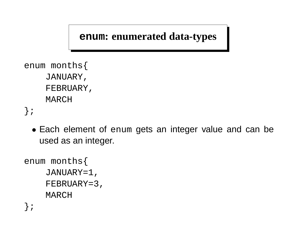**enum: enumerated data-types**

```
enum months{
    JANUARY,
    FEBRUARY,
    MARCH
};
```
• Each element of enum gets an integer value and can be used as an integer.

```
enum months{
    JANUARY=1,
    FEBRUARY=3,
    MARCH
};
```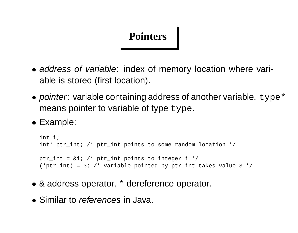# **Pointers**

- address of variable: index of memory location where variable is stored (first location).
- pointer: variable containing address of another variable.  $type*$ means pointer to variable of type type.
- Example:

```
int i;
int* ptr int; /* ptr int points to some random location */
ptr_int = &ii; /* ptr_int points to integer i */
(*ptr int) = 3; /* variable pointed by ptr int takes value 3 */
```
- & address operator, \* dereference operator.
- Similar to *references* in Java.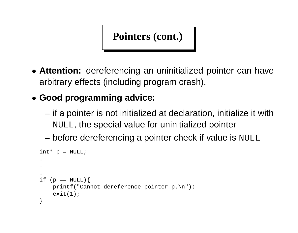**Pointers (cont.)**

- **Attention:** dereferencing an uninitialized pointer can have arbitrary effects (including program crash).
- **Good programming advice:**
	- **–** if a pointer is not initialized at declaration, initialize it with NULL, the special value for uninitialized pointer
	- **–** before dereferencing a pointer check if value is NULL

```
int* p = NULL;.
.
.
if (p == NULL) {
    printf("Cannot dereference pointer p.\n");
    exit(1);}
```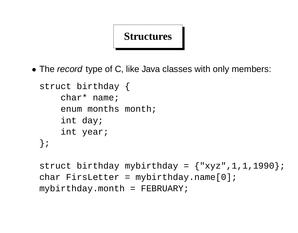#### **Structures**

• The record type of C, like Java classes with only members:

```
struct birthday {
    char* name;
    enum months month;
    int day;
    int year;
};
```

```
struct birthday mybirthday = {"xyz", 1, 1, 1990};
char FirsLetter = mybirthday.name[0];
mybirthday.month = FEBRUARY;
```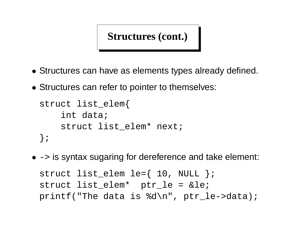**Structures (cont.)**

- Structures can have as elements types already defined.
- Structures can refer to pointer to themselves:

```
struct list_elem{
    int data;
    struct list elem* next;
};
```
•  $\rightarrow$  is syntax sugaring for dereference and take element: struct list elem le= $\{ 10, NULL \}$ ; struct list\_elem\* ptr\_le = ≤ printf("The data is %d\n", ptr\_le->data);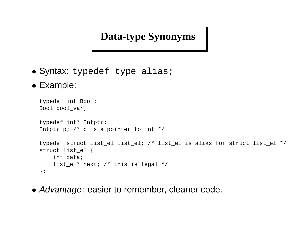### **Data-type Synonyms**

- Syntax: typedef type alias;
- Example:

```
typedef int Bool;
Bool bool_var;
typedef int* Intptr;
Intptr p; /* p is a pointer to int */typedef struct list_el list_el; /* list_el is alias for struct list_el */
struct list_el {
    int data;
    list_el* next; /* this is legal */
};
```
• Advantage: easier to remember, cleaner code.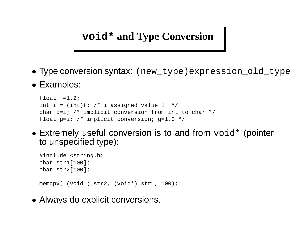#### **void\* and Type Conversion**

- Type conversion syntax: (new\_type)expression\_old\_type
- Examples:

```
float f=1.2;
int i = (int)f; /* i assigned value 1 */
char c=i; /* implicit conversion from int to char */
float g=i; /* implicit conversion; g=1.0 */
```
• Extremely useful conversion is to and from  $\text{void}^*$  (pointer to unspecified type):

```
#include <string.h>
char str1[100];
char str2[100];
memcpy( (void*) str2, (void*) str1, 100);
```
• Always do explicit conversions.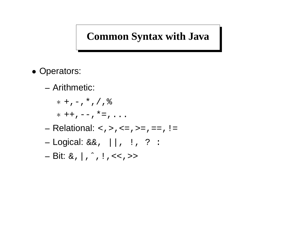#### **Common Syntax with Java**

- Operators:
	- **–** Arithmetic:
		- $*$  +, -,  $*$ , /,  $\frac{6}{6}$
		- $*$  ++, --,  $*$ =, ...
	- **–** Relational: <,>,<=,>=,==,!=
	- **–** Logical: &&, ||, !, ? :
	- **–** Bit: &,|,ˆ,!,<<,>>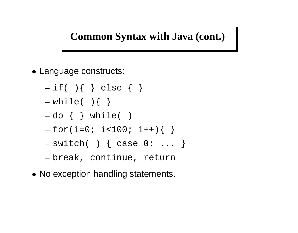### **Common Syntax with Java (cont.)**

- Language constructs:
	- **–** if( ){ } else { }
	- **–** while( ){ }
	- **–** do { } while( )
	- **–** for(i=0; i<100; i++){ }
	- **–** switch( ) { case 0: ... }
	- **–** break, continue, return
- No exception handling statements.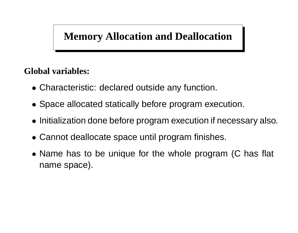## **Memory Allocation and Deallocation**

#### **Global variables:**

- Characteristic: declared outside any function.
- Space allocated statically before program execution.
- Initialization done before program execution if necessary also.
- Cannot deallocate space until program finishes.
- Name has to be unique for the whole program (C has flat name space).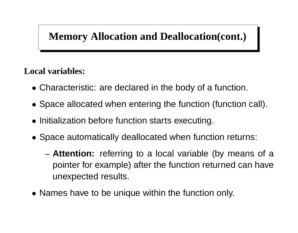## **Memory Allocation and Deallocation(cont.)**

#### **Local variables:**

- Characteristic: are declared in the body of a function.
- Space allocated when entering the function (function call).
- Initialization before function starts executing.
- Space automatically deallocated when function returns:
	- **– Attention:** referring to a local variable (by means of a pointer for example) after the function returned can have unexpected results.
- Names have to be unique within the function only.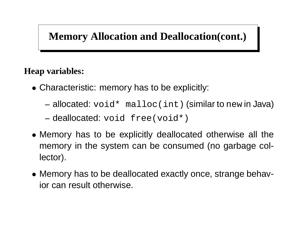## **Memory Allocation and Deallocation(cont.)**

#### **Heap variables:**

- Characteristic: memory has to be explicitly:
	- **–** allocated: void\* malloc(int) (similar to new in Java)
	- **–** deallocated: void free(void\*)
- Memory has to be explicitly deallocated otherwise all the memory in the system can be consumed (no garbage collector).
- Memory has to be deallocated exactly once, strange behavior can result otherwise.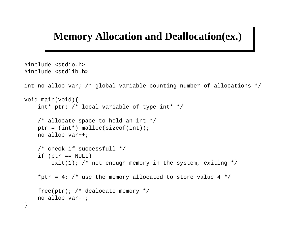#### **Memory Allocation and Deallocation(ex.)**

```
#include <stdio.h>
#include <stdlib.h>
int no alloc var; /* global variable counting number of allocations */void main(void){
    int* ptr; /* local variable of type int* */
    /* allocate space to hold an int */
    ptr = (int*) malloc(sizeof(int));
    no_alloc_var++;
    /* check if successfull */
    if (\text{ptr} == \text{NULL})exit(1); /* not enough memory in the system, exiting */*ptr = 4; /* use the memory allocated to store value 4 */
    free(ptr); /* dealocate memory */
   no_alloc_var--;
}
```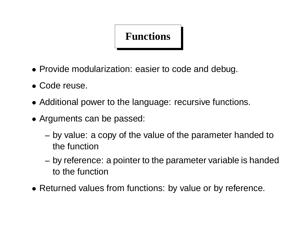## **Functions**

- Provide modularization: easier to code and debug.
- Code reuse.
- Additional power to the language: recursive functions.
- Arguments can be passed:
	- **–** by value: a copy of the value of the parameter handed to the function
	- **–** by reference: a pointer to the parameter variable is handed to the function
- Returned values from functions: by value or by reference.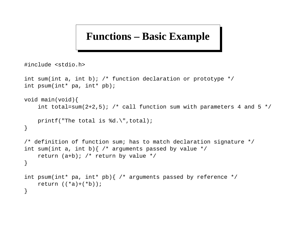#### **Functions – Basic Example**

#include <stdio.h>

```
int sum(int a, int b); /* function declaration or prototype */int psum(int* pa, int* pb);
void main(void){
    int total=sum(2+2,5); /* call function sum with parameters 4 and 5 */printf("The total is %d.\",total);
}
/* definition of function sum; has to match declaration signature */
int sum(int a, int b) \frac{1}{x} arguments passed by value */
    return (a+b); /* return by value */
}
int psum(int* pa, int* pb){ /* arguments passed by reference */
    return ((*a)+(*b));
}
```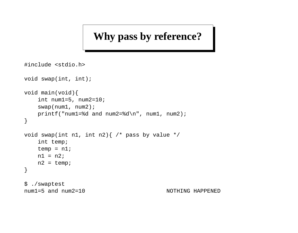### **Why pass by reference?**

```
#include <stdio.h>
void swap(int, int);
void main(void){
    int num1=5, num2=10;
    swap(num1, num2);
   printf("num1=%d and num2=%d\n", num1, num2);
}
void swap(int n1, int n2) \frac{1}{x} pass by value */
    int temp;
   temp = n1;
   nl = n2;n2 = temp;}
$ ./swaptest
num1=5 and num2=10 NOTHING HAPPENED
```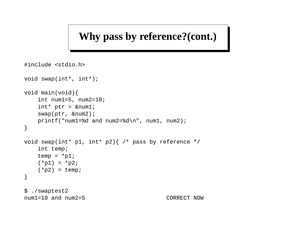#### **Why pass by reference?(cont.)**

```
#include <stdio.h>
void swap(int*, int*);
void main(void){
   int num1=5, num2=10;
   int* ptr = &num1;
   swap(ptr, &num2);
   printf("num1=%d and num2=%d\n", num1, num2);
}
void swap(int* p1, int* p2){ /* pass by reference */
   int temp;
   temp = *pi;
   (*p1) = *p2;
   (*p2) = temp;}
$ ./swaptest2
num1=10 and num2=5 CORRECT NOW
```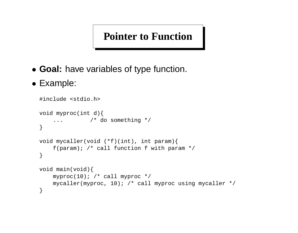#### **Pointer to Function**

- **Goal:** have variables of type function.
- Example:

```
#include <stdio.h>
void myproc(int d){
    ... /* do something */
}
void mycaller(void (*f)(int), int param){
    f(param); /* call function f with param */
}
void main(void){
    myproc(10); /* call myproc */
    mycaller(myproc, 10); /* call myproc using mycaller */
}
```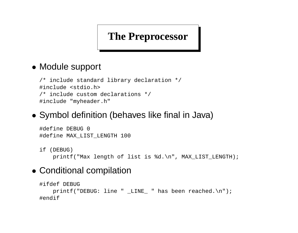#### **The Preprocessor**

#### • Module support

```
/* include standard library declaration */
#include <stdio.h>
/* include custom declarations */
#include "myheader.h"
```
#### • Symbol definition (behaves like final in Java)

```
#define DEBUG 0
#define MAX_LIST_LENGTH 100
```

```
if (DEBUG)
```
printf("Max length of list is %d.\n", MAX\_LIST\_LENGTH);

#### • Conditional compilation

```
#ifdef DEBUG
      printf("DEBUG: line " LINE " has been reached.\n \n \begin{bmatrix}\n n' \\
 n' \\
 n''\n \end{bmatrix};
#endif
```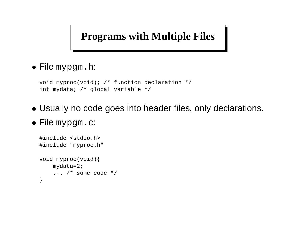### **Programs with Multiple Files**

• File mypgm.h:

```
void myproc(void); /* function declaration */
int mydata; /* global variable */
```
- Usually no code goes into header files, only declarations.
- File mypgm.c:

```
#include <stdio.h>
#include "myproc.h"
void myproc(void){
    mydata=2;
    \ldots /* some code */
}
```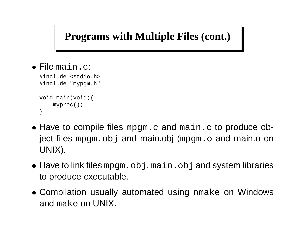### **Programs with Multiple Files (cont.)**

```
• File main.c:
```
#include <stdio.h> #include "mypgm.h" void main(void){ myproc(); }

- Have to compile files mpgm.c and main.c to produce object files mpgm.obj and main.obj (mpgm.o and main.o on UNIX).
- Have to link files mpgm.obj, main.obj and system libraries to produce executable.
- Compilation usually automated using nmake on Windows and make on UNIX.